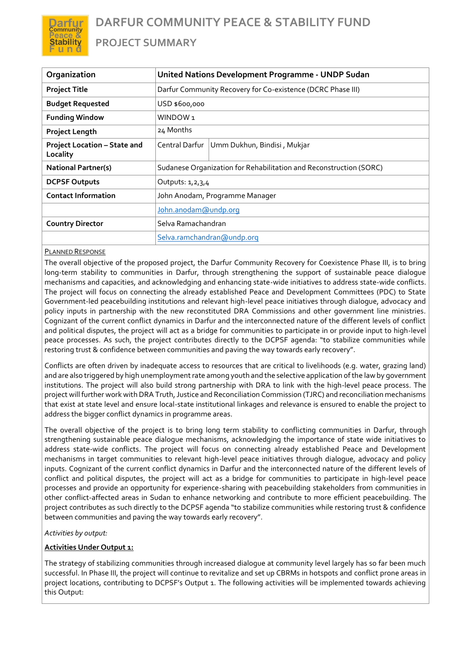**PROJECT SUMMARY**

| Organization                             | United Nations Development Programme - UNDP Sudan                  |                             |
|------------------------------------------|--------------------------------------------------------------------|-----------------------------|
| <b>Project Title</b>                     | Darfur Community Recovery for Co-existence (DCRC Phase III)        |                             |
| <b>Budget Requested</b>                  | USD \$600,000                                                      |                             |
| <b>Funding Window</b>                    | WINDOW <sub>1</sub>                                                |                             |
| <b>Project Length</b>                    | 24 Months                                                          |                             |
| Project Location - State and<br>Locality | Central Darfur                                                     | Umm Dukhun, Bindisi, Mukjar |
| <b>National Partner(s)</b>               | Sudanese Organization for Rehabilitation and Reconstruction (SORC) |                             |
| <b>DCPSF Outputs</b>                     | Outputs: 1,2,3,4                                                   |                             |
| <b>Contact Information</b>               | John Anodam, Programme Manager                                     |                             |
|                                          | John.anodam@undp.org                                               |                             |
| <b>Country Director</b>                  | Selva Ramachandran                                                 |                             |
|                                          | Selva.ramchandran@undp.org                                         |                             |

# PLANNED RESPONSE

)arfur ommunity **Stability** u n d

The overall objective of the proposed project, the Darfur Community Recovery for Coexistence Phase III, is to bring long-term stability to communities in Darfur, through strengthening the support of sustainable peace dialogue mechanisms and capacities, and acknowledging and enhancing state-wide initiatives to address state-wide conflicts. The project will focus on connecting the already established Peace and Development Committees (PDC) to State Government-led peacebuilding institutions and relevant high-level peace initiatives through dialogue, advocacy and policy inputs in partnership with the new reconstituted DRA Commissions and other government line ministries. Cognizant of the current conflict dynamics in Darfur and the interconnected nature of the different levels of conflict and political disputes, the project will act as a bridge for communities to participate in or provide input to high-level peace processes. As such, the project contributes directly to the DCPSF agenda: "to stabilize communities while restoring trust & confidence between communities and paving the way towards early recovery".

Conflicts are often driven by inadequate access to resources that are critical to livelihoods (e.g. water, grazing land) and are also triggered by high unemployment rate among youth and the selective application of the law by government institutions. The project will also build strong partnership with DRA to link with the high-level peace process. The project will further work with DRA Truth, Justice and Reconciliation Commission (TJRC) and reconciliation mechanisms that exist at state level and ensure local-state institutional linkages and relevance is ensured to enable the project to address the bigger conflict dynamics in programme areas.

The overall objective of the project is to bring long term stability to conflicting communities in Darfur, through strengthening sustainable peace dialogue mechanisms, acknowledging the importance of state wide initiatives to address state-wide conflicts. The project will focus on connecting already established Peace and Development mechanisms in target communities to relevant high-level peace initiatives through dialogue, advocacy and policy inputs. Cognizant of the current conflict dynamics in Darfur and the interconnected nature of the different levels of conflict and political disputes, the project will act as a bridge for communities to participate in high-level peace processes and provide an opportunity for experience-sharing with peacebuilding stakeholders from communities in other conflict-affected areas in Sudan to enhance networking and contribute to more efficient peacebuilding. The project contributes as such directly to the DCPSF agenda "to stabilize communities while restoring trust & confidence between communities and paving the way towards early recovery".

# *Activities by output:*

# **Activities Under Output 1:**

The strategy of stabilizing communities through increased dialogue at community level largely has so far been much successful. In Phase III, the project will continue to revitalize and set up CBRMs in hotspots and conflict prone areas in project locations, contributing to DCPSF's Output 1. The following activities will be implemented towards achieving this Output: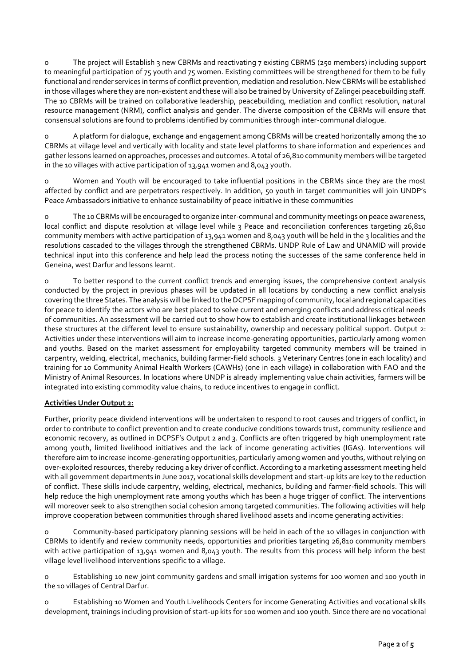o The project will Establish 3 new CBRMs and reactivating 7 existing CBRMS (250 members) including support to meaningful participation of 75 youth and 75 women. Existing committees will be strengthened for them to be fully functional and render services in terms of conflict prevention, mediation and resolution. New CBRMs will be established in those villages where they are non-existent and these will also be trained by University of Zalingei peacebuilding staff. The 10 CBRMs will be trained on collaborative leadership, peacebuilding, mediation and conflict resolution, natural resource management (NRM), conflict analysis and gender. The diverse composition of the CBRMs will ensure that consensual solutions are found to problems identified by communities through inter-communal dialogue.

o A platform for dialogue, exchange and engagement among CBRMs will be created horizontally among the 10 CBRMs at village level and vertically with locality and state level platforms to share information and experiences and gather lessons learned on approaches, processes and outcomes. A total of 26,810 community members will be targeted in the 10 villages with active participation of 13,941 women and 8,043 youth.

o Women and Youth will be encouraged to take influential positions in the CBRMs since they are the most affected by conflict and are perpetrators respectively. In addition, 50 youth in target communities will join UNDP's Peace Ambassadors initiative to enhance sustainability of peace initiative in these communities

o The 10 CBRMs will be encouraged to organize inter-communal and community meetings on peace awareness, local conflict and dispute resolution at village level while 3 Peace and reconciliation conferences targeting 26,810 community members with active participation of 13,941 women and 8,043 youth will be held in the 3 localities and the resolutions cascaded to the villages through the strengthened CBRMs. UNDP Rule of Law and UNAMID will provide technical input into this conference and help lead the process noting the successes of the same conference held in Geneina, west Darfur and lessons learnt.

o To better respond to the current conflict trends and emerging issues, the comprehensive context analysis conducted by the project in previous phases will be updated in all locations by conducting a new conflict analysis covering the three States. The analysis will be linked to the DCPSF mapping of community, local and regional capacities for peace to identify the actors who are best placed to solve current and emerging conflicts and address critical needs of communities. An assessment will be carried out to show how to establish and create institutional linkages between these structures at the different level to ensure sustainability, ownership and necessary political support. Output 2: Activities under these interventions will aim to increase income-generating opportunities, particularly among women and youths. Based on the market assessment for employability targeted community members will be trained in carpentry, welding, electrical, mechanics, building farmer-field schools. 3 Veterinary Centres (one in each locality) and training for 10 Community Animal Health Workers (CAWHs) (one in each village) in collaboration with FAO and the Ministry of Animal Resources. In locations where UNDP is already implementing value chain activities, farmers will be integrated into existing commodity value chains, to reduce incentives to engage in conflict.

# **Activities Under Output 2:**

Further, priority peace dividend interventions will be undertaken to respond to root causes and triggers of conflict, in order to contribute to conflict prevention and to create conducive conditions towards trust, community resilience and economic recovery, as outlined in DCPSF's Output 2 and 3. Conflicts are often triggered by high unemployment rate among youth, limited livelihood initiatives and the lack of income generating activities (IGAs). Interventions will therefore aim to increase income-generating opportunities, particularly among women and youths, without relying on over-exploited resources, thereby reducing a key driver of conflict. According to a marketing assessment meeting held with all government departments in June 2017, vocational skills development and start-up kits are key to the reduction of conflict. These skills include carpentry, welding, electrical, mechanics, building and farmer-field schools. This will help reduce the high unemployment rate among youths which has been a huge trigger of conflict. The interventions will moreover seek to also strengthen social cohesion among targeted communities. The following activities will help improve cooperation between communities through shared livelihood assets and income generating activities:

o Community-based participatory planning sessions will be held in each of the 10 villages in conjunction with CBRMs to identify and review community needs, opportunities and priorities targeting 26,810 community members with active participation of 13,941 women and 8,043 youth. The results from this process will help inform the best village level livelihood interventions specific to a village.

o Establishing 10 new joint community gardens and small irrigation systems for 100 women and 100 youth in the 10 villages of Central Darfur.

o Establishing 10 Women and Youth Livelihoods Centers for income Generating Activities and vocational skills development, trainings including provision of start-up kits for 100 women and 100 youth. Since there are no vocational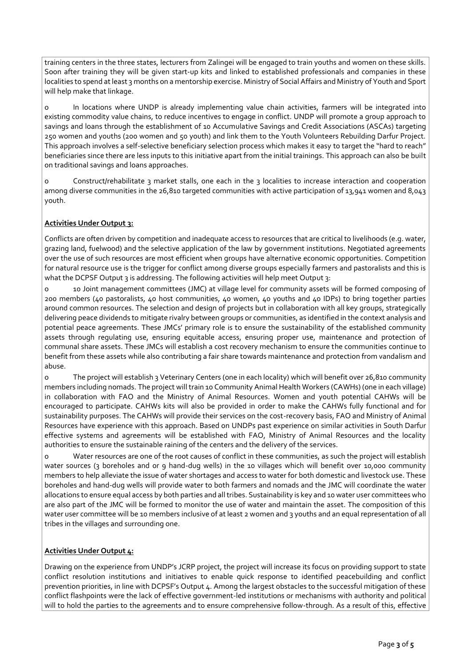training centers in the three states, lecturers from Zalingei will be engaged to train youths and women on these skills. Soon after training they will be given start-up kits and linked to established professionals and companies in these localities to spend at least 3 months on a mentorship exercise. Ministry of Social Affairs and Ministry of Youth and Sport will help make that linkage.

o In locations where UNDP is already implementing value chain activities, farmers will be integrated into existing commodity value chains, to reduce incentives to engage in conflict. UNDP will promote a group approach to savings and loans through the establishment of 10 Accumulative Savings and Credit Associations (ASCAs) targeting 250 women and youths (200 women and 50 youth) and link them to the Youth Volunteers Rebuilding Darfur Project. This approach involves a self-selective beneficiary selection process which makes it easy to target the "hard to reach" beneficiaries since there are less inputs to this initiative apart from the initial trainings. This approach can also be built on traditional savings and loans approaches.

o Construct/rehabilitate 3 market stalls, one each in the 3 localities to increase interaction and cooperation among diverse communities in the 26,810 targeted communities with active participation of 13,941 women and 8,043 youth.

# **Activities Under Output 3:**

Conflicts are often driven by competition and inadequate access to resources that are critical to livelihoods (e.g. water, grazing land, fuelwood) and the selective application of the law by government institutions. Negotiated agreements over the use of such resources are most efficient when groups have alternative economic opportunities. Competition for natural resource use is the trigger for conflict among diverse groups especially farmers and pastoralists and this is what the DCPSF Output 3 is addressing. The following activities will help meet Output 3:

o 10 Joint management committees (JMC) at village level for community assets will be formed composing of 200 members (40 pastoralists, 40 host communities, 40 women, 40 youths and 40 IDPs) to bring together parties around common resources. The selection and design of projects but in collaboration with all key groups, strategically delivering peace dividends to mitigate rivalry between groups or communities, as identified in the context analysis and potential peace agreements. These JMCs' primary role is to ensure the sustainability of the established community assets through regulating use, ensuring equitable access, ensuring proper use, maintenance and protection of communal share assets. These JMCs will establish a cost recovery mechanism to ensure the communities continue to benefit from these assets while also contributing a fair share towards maintenance and protection from vandalism and abuse.

o The project will establish 3 Veterinary Centers (one in each locality) which will benefit over 26,810 community members including nomads. The project will train 10 Community Animal Health Workers (CAWHs) (one in each village) in collaboration with FAO and the Ministry of Animal Resources. Women and youth potential CAHWs will be encouraged to participate. CAHWs kits will also be provided in order to make the CAHWs fully functional and for sustainability purposes. The CAHWs will provide their services on the cost-recovery basis, FAO and Ministry of Animal Resources have experience with this approach. Based on UNDPs past experience on similar activities in South Darfur effective systems and agreements will be established with FAO, Ministry of Animal Resources and the locality authorities to ensure the sustainable raining of the centers and the delivery of the services.

o Water resources are one of the root causes of conflict in these communities, as such the project will establish water sources (3 boreholes and or 9 hand-dug wells) in the 10 villages which will benefit over 10,000 community members to help alleviate the issue of water shortages and access to water for both domestic and livestock use. These boreholes and hand-dug wells will provide water to both farmers and nomads and the JMC will coordinate the water allocations to ensure equal access by both parties and all tribes. Sustainability is key and 10 water user committees who are also part of the JMC will be formed to monitor the use of water and maintain the asset. The composition of this water user committee will be 10 members inclusive of at least 2 women and 3 youths and an equal representation of all tribes in the villages and surrounding one.

# **Activities Under Output 4:**

Drawing on the experience from UNDP's JCRP project, the project will increase its focus on providing support to state conflict resolution institutions and initiatives to enable quick response to identified peacebuilding and conflict prevention priorities, in line with DCPSF's Output 4. Among the largest obstacles to the successful mitigation of these conflict flashpoints were the lack of effective government-led institutions or mechanisms with authority and political will to hold the parties to the agreements and to ensure comprehensive follow-through. As a result of this, effective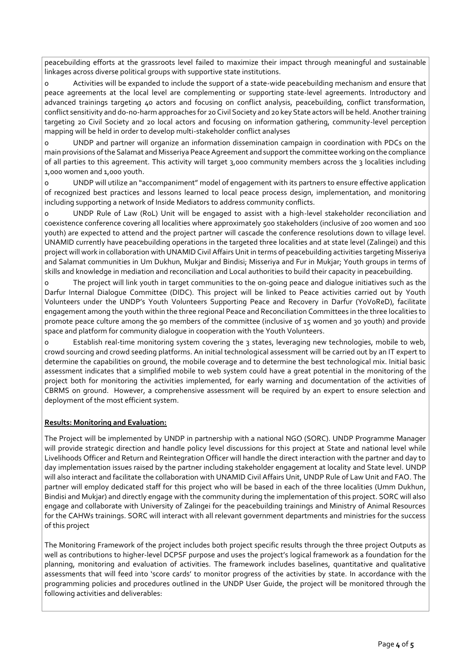peacebuilding efforts at the grassroots level failed to maximize their impact through meaningful and sustainable linkages across diverse political groups with supportive state institutions.

o Activities will be expanded to include the support of a state-wide peacebuilding mechanism and ensure that peace agreements at the local level are complementing or supporting state-level agreements. Introductory and advanced trainings targeting 40 actors and focusing on conflict analysis, peacebuilding, conflict transformation, conflict sensitivity and do-no-harm approaches for 20 Civil Society and 20 key State actors will be held. Another training targeting 20 Civil Society and 20 local actors and focusing on information gathering, community-level perception mapping will be held in order to develop multi-stakeholder conflict analyses

o UNDP and partner will organize an information dissemination campaign in coordination with PDCs on the main provisions of the Salamat and Misseriya Peace Agreement and support the committee working on the compliance of all parties to this agreement. This activity will target 3,000 community members across the 3 localities including 1,000 women and 1,000 youth.

o UNDP will utilize an "accompaniment" model of engagement with its partners to ensure effective application of recognized best practices and lessons learned to local peace process design, implementation, and monitoring including supporting a network of Inside Mediators to address community conflicts.

o UNDP Rule of Law (RoL) Unit will be engaged to assist with a high-level stakeholder reconciliation and coexistence conference covering all localities where approximately 500 stakeholders (inclusive of 200 women and 100 youth) are expected to attend and the project partner will cascade the conference resolutions down to village level. UNAMID currently have peacebuilding operations in the targeted three localities and at state level (Zalingei) and this project will work in collaboration with UNAMID Civil Affairs Unit in terms of peacebuilding activities targeting Misseriya and Salamat communities in Um Dukhun, Mukjar and Bindisi; Misseriya and Fur in Mukjar; Youth groups in terms of skills and knowledge in mediation and reconciliation and Local authorities to build their capacity in peacebuilding.

o The project will link youth in target communities to the on-going peace and dialogue initiatives such as the Darfur Internal Dialogue Committee (DIDC). This project will be linked to Peace activities carried out by Youth Volunteers under the UNDP's Youth Volunteers Supporting Peace and Recovery in Darfur (YoVoReD), facilitate engagement among the youth within the three regional Peace and Reconciliation Committees in the three localities to promote peace culture among the 90 members of the committee (inclusive of 15 women and 30 youth) and provide space and platform for community dialogue in cooperation with the Youth Volunteers.

o Establish real-time monitoring system covering the 3 states, leveraging new technologies, mobile to web, crowd sourcing and crowd seeding platforms. An initial technological assessment will be carried out by an IT expert to determine the capabilities on ground, the mobile coverage and to determine the best technological mix. Initial basic assessment indicates that a simplified mobile to web system could have a great potential in the monitoring of the project both for monitoring the activities implemented, for early warning and documentation of the activities of CBRMS on ground. However, a comprehensive assessment will be required by an expert to ensure selection and deployment of the most efficient system.

# **Results: Monitoring and Evaluation:**

The Project will be implemented by UNDP in partnership with a national NGO (SORC). UNDP Programme Manager will provide strategic direction and handle policy level discussions for this project at State and national level while Livelihoods Officer and Return and Reintegration Officer will handle the direct interaction with the partner and day to day implementation issues raised by the partner including stakeholder engagement at locality and State level. UNDP will also interact and facilitate the collaboration with UNAMID Civil Affairs Unit, UNDP Rule of Law Unit and FAO. The partner will employ dedicated staff for this project who will be based in each of the three localities (Umm Dukhun, Bindisi and Mukjar) and directly engage with the community during the implementation of this project. SORC will also engage and collaborate with University of Zalingei for the peacebuilding trainings and Ministry of Animal Resources for the CAHWs trainings. SORC will interact with all relevant government departments and ministries for the success of this project

The Monitoring Framework of the project includes both project specific results through the three project Outputs as well as contributions to higher-level DCPSF purpose and uses the project's logical framework as a foundation for the planning, monitoring and evaluation of activities. The framework includes baselines, quantitative and qualitative assessments that will feed into 'score cards' to monitor progress of the activities by state. In accordance with the programming policies and procedures outlined in the UNDP User Guide, the project will be monitored through the following activities and deliverables: